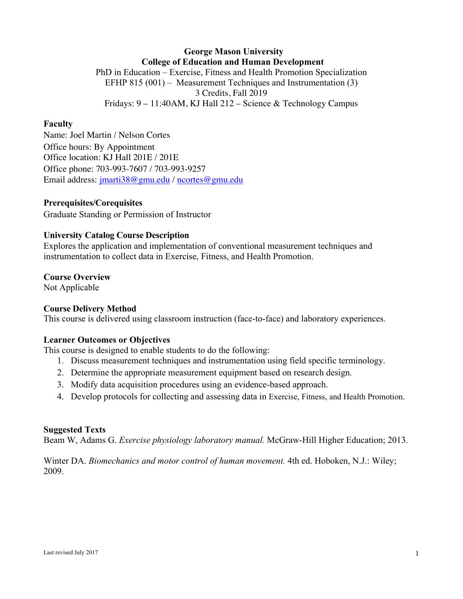## **George Mason University College of Education and Human Development** PhD in Education – Exercise, Fitness and Health Promotion Specialization EFHP 815 (001) – Measurement Techniques and Instrumentation (3) 3 Credits, Fall 2019 Fridays: 9 – 11:40AM, KJ Hall 212 – Science & Technology Campus

#### **Faculty**

Name: Joel Martin / Nelson Cortes Office hours: By Appointment Office location: KJ Hall 201E / 201E Office phone: 703-993-7607 / 703-993-9257 Email address: jmarti38@gmu.edu / ncortes@gmu.edu

#### **Prerequisites/Corequisites**

Graduate Standing or Permission of Instructor

#### **University Catalog Course Description**

Explores the application and implementation of conventional measurement techniques and instrumentation to collect data in Exercise, Fitness, and Health Promotion.

#### **Course Overview**

Not Applicable

#### **Course Delivery Method**

This course is delivered using classroom instruction (face-to-face) and laboratory experiences.

#### **Learner Outcomes or Objectives**

This course is designed to enable students to do the following:

- 1. Discuss measurement techniques and instrumentation using field specific terminology.
- 2. Determine the appropriate measurement equipment based on research design.
- 3. Modify data acquisition procedures using an evidence-based approach.
- 4. Develop protocols for collecting and assessing data in Exercise, Fitness, and Health Promotion.

#### **Suggested Texts**

Beam W, Adams G. *Exercise physiology laboratory manual.* McGraw-Hill Higher Education; 2013.

Winter DA. *Biomechanics and motor control of human movement.* 4th ed. Hoboken, N.J.: Wiley; 2009.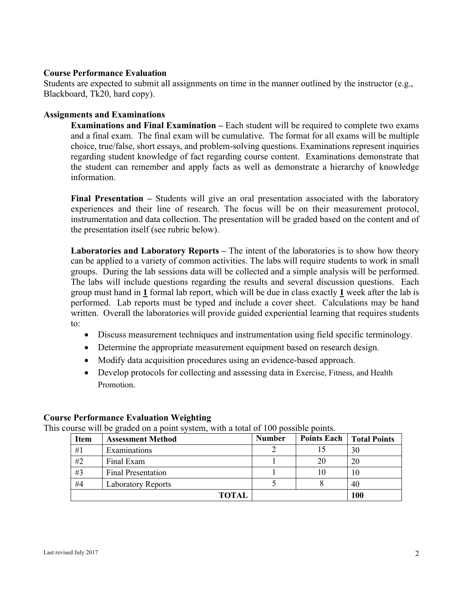## **Course Performance Evaluation**

Students are expected to submit all assignments on time in the manner outlined by the instructor (e.g., Blackboard, Tk20, hard copy).

### **Assignments and Examinations**

**Examinations and Final Examination –** Each student will be required to complete two exams and a final exam. The final exam will be cumulative. The format for all exams will be multiple choice, true/false, short essays, and problem-solving questions. Examinations represent inquiries regarding student knowledge of fact regarding course content. Examinations demonstrate that the student can remember and apply facts as well as demonstrate a hierarchy of knowledge information.

**Final Presentation –** Students will give an oral presentation associated with the laboratory experiences and their line of research. The focus will be on their measurement protocol, instrumentation and data collection. The presentation will be graded based on the content and of the presentation itself (see rubric below).

**Laboratories and Laboratory Reports –** The intent of the laboratories is to show how theory can be applied to a variety of common activities. The labs will require students to work in small groups. During the lab sessions data will be collected and a simple analysis will be performed. The labs will include questions regarding the results and several discussion questions. Each group must hand in **1** formal lab report, which will be due in class exactly **1** week after the lab is performed. Lab reports must be typed and include a cover sheet. Calculations may be hand written. Overall the laboratories will provide guided experiential learning that requires students to:

- Discuss measurement techniques and instrumentation using field specific terminology.
- Determine the appropriate measurement equipment based on research design.
- Modify data acquisition procedures using an evidence-based approach.
- Develop protocols for collecting and assessing data in Exercise, Fitness, and Health Promotion.

## **Course Performance Evaluation Weighting**

This course will be graded on a point system, with a total of 100 possible points.

| <b>Item</b> | <b>Assessment Method</b>  | <b>Number</b> |    | <b>Points Each   Total Points</b> |
|-------------|---------------------------|---------------|----|-----------------------------------|
| #1          | Examinations              |               |    | 30                                |
| #2          | Final Exam                |               | 20 | 20                                |
| #3          | <b>Final Presentation</b> |               |    | 10                                |
| #4          | <b>Laboratory Reports</b> |               |    | 40                                |
|             | <b>TOTAL</b>              |               |    | 100                               |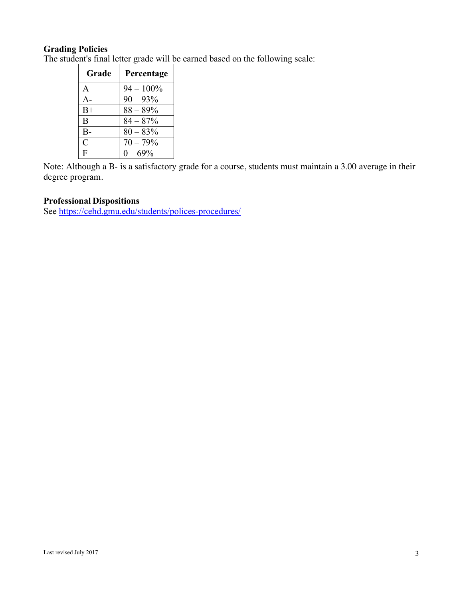# **Grading Policies**

The student's final letter grade will be earned based on the following scale:

| Grade         | Percentage   |
|---------------|--------------|
| A             | $94 - 100\%$ |
| $A -$         | $90 - 93\%$  |
| $B+$          | $88 - 89\%$  |
| B             | $84 - 87%$   |
| $B-$          | $80 - 83%$   |
| $\mathcal{C}$ | $70 - 79%$   |
| F             | $0 - 69\%$   |

Note: Although a B- is a satisfactory grade for a course, students must maintain a 3.00 average in their degree program.

# **Professional Dispositions**

See https://cehd.gmu.edu/students/polices-procedures/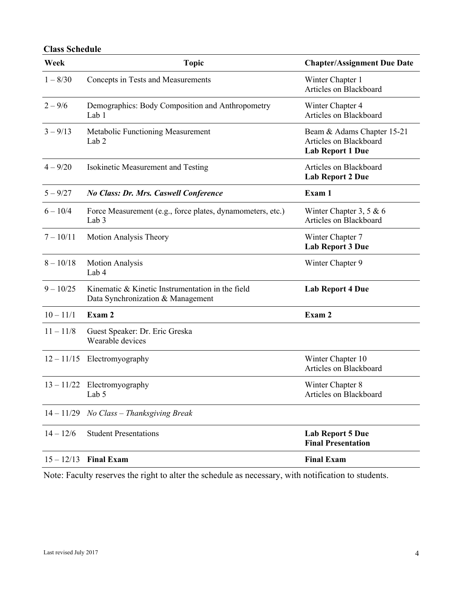# **Class Schedule**

| Week         | <b>Topic</b>                                                                          | <b>Chapter/Assignment Due Date</b>                                              |
|--------------|---------------------------------------------------------------------------------------|---------------------------------------------------------------------------------|
| $1 - 8/30$   | Concepts in Tests and Measurements                                                    | Winter Chapter 1<br>Articles on Blackboard                                      |
| $2 - 9/6$    | Demographics: Body Composition and Anthropometry<br>Lab 1                             | Winter Chapter 4<br>Articles on Blackboard                                      |
| $3 - 9/13$   | Metabolic Functioning Measurement<br>Lab <sub>2</sub>                                 | Beam & Adams Chapter 15-21<br>Articles on Blackboard<br><b>Lab Report 1 Due</b> |
| $4 - 9/20$   | Isokinetic Measurement and Testing                                                    | Articles on Blackboard<br><b>Lab Report 2 Due</b>                               |
| $5 - 9/27$   | No Class: Dr. Mrs. Caswell Conference                                                 | Exam 1                                                                          |
| $6 - 10/4$   | Force Measurement (e.g., force plates, dynamometers, etc.)<br>Lab <sub>3</sub>        | Winter Chapter 3, 5 & 6<br>Articles on Blackboard                               |
| $7 - 10/11$  | Motion Analysis Theory                                                                | Winter Chapter 7<br><b>Lab Report 3 Due</b>                                     |
| $8 - 10/18$  | <b>Motion Analysis</b><br>Lab 4                                                       | Winter Chapter 9                                                                |
| $9 - 10/25$  | Kinematic & Kinetic Instrumentation in the field<br>Data Synchronization & Management | <b>Lab Report 4 Due</b>                                                         |
| $10 - 11/1$  | Exam 2                                                                                | Exam 2                                                                          |
| $11 - 11/8$  | Guest Speaker: Dr. Eric Greska<br>Wearable devices                                    |                                                                                 |
|              | $12 - 11/15$ Electromyography                                                         | Winter Chapter 10<br>Articles on Blackboard                                     |
|              | $13 - 11/22$ Electromyography<br>Lab 5                                                | Winter Chapter 8<br>Articles on Blackboard                                      |
| $14 - 11/29$ | No Class - Thanksgiving Break                                                         |                                                                                 |
| $14 - 12/6$  | <b>Student Presentations</b>                                                          | <b>Lab Report 5 Due</b><br><b>Final Presentation</b>                            |
| $15 - 12/13$ | <b>Final Exam</b>                                                                     | <b>Final Exam</b>                                                               |

Note: Faculty reserves the right to alter the schedule as necessary, with notification to students.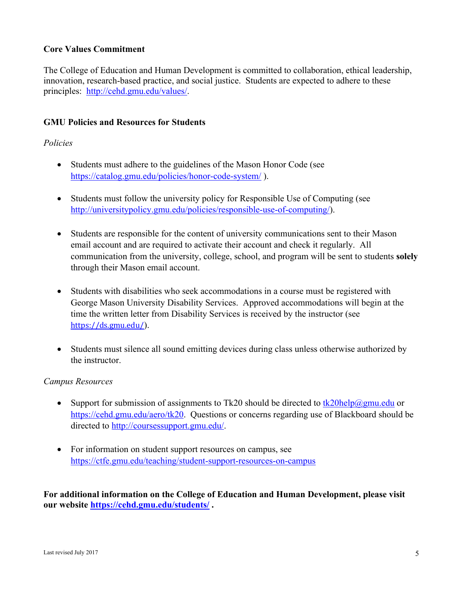# **Core Values Commitment**

The College of Education and Human Development is committed to collaboration, ethical leadership, innovation, research-based practice, and social justice. Students are expected to adhere to these principles: http://cehd.gmu.edu/values/.

## **GMU Policies and Resources for Students**

### *Policies*

- Students must adhere to the guidelines of the Mason Honor Code (see https://catalog.gmu.edu/policies/honor-code-system/ ).
- Students must follow the university policy for Responsible Use of Computing (see http://universitypolicy.gmu.edu/policies/responsible-use-of-computing/).
- Students are responsible for the content of university communications sent to their Mason email account and are required to activate their account and check it regularly. All communication from the university, college, school, and program will be sent to students **solely** through their Mason email account.
- Students with disabilities who seek accommodations in a course must be registered with George Mason University Disability Services. Approved accommodations will begin at the time the written letter from Disability Services is received by the instructor (see https://ds.gmu.edu/).
- Students must silence all sound emitting devices during class unless otherwise authorized by the instructor.

### *Campus Resources*

- Support for submission of assignments to Tk20 should be directed to  $\frac{tk20\text{help@gmu.edu}}{tk20\text{help@gmu.edu}}$  or https://cehd.gmu.edu/aero/tk20. Questions or concerns regarding use of Blackboard should be directed to http://coursessupport.gmu.edu/.
- For information on student support resources on campus, see https://ctfe.gmu.edu/teaching/student-support-resources-on-campus

**For additional information on the College of Education and Human Development, please visit our website https://cehd.gmu.edu/students/ .**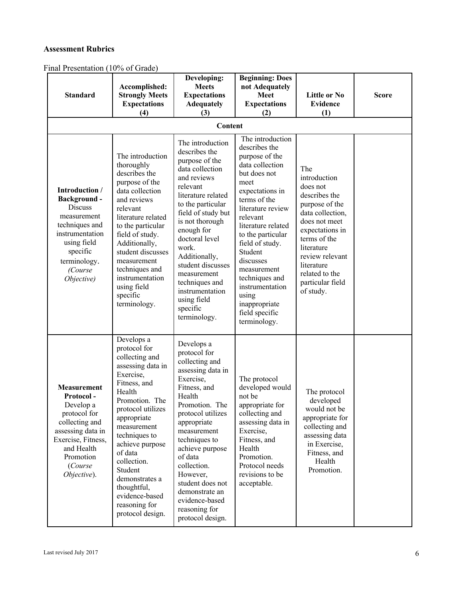#### **Assessment Rubrics**

Final Presentation (10% of Grade)

| <b>Standard</b>                                                                                                                                                                | Accomplished:<br><b>Strongly Meets</b><br><b>Expectations</b><br>(4)                                                                                                                                                                                                                                                                           | Developing:<br><b>Meets</b><br><b>Expectations</b><br><b>Adequately</b><br>(3)                                                                                                                                                                                                                                                                                      | <b>Beginning: Does</b><br>not Adequately<br><b>Meet</b><br><b>Expectations</b><br>(2)                                                                                                                                                                                                                                                                                    | Little or No<br><b>Evidence</b><br>(1)                                                                                                                                                                                                       | <b>Score</b> |
|--------------------------------------------------------------------------------------------------------------------------------------------------------------------------------|------------------------------------------------------------------------------------------------------------------------------------------------------------------------------------------------------------------------------------------------------------------------------------------------------------------------------------------------|---------------------------------------------------------------------------------------------------------------------------------------------------------------------------------------------------------------------------------------------------------------------------------------------------------------------------------------------------------------------|--------------------------------------------------------------------------------------------------------------------------------------------------------------------------------------------------------------------------------------------------------------------------------------------------------------------------------------------------------------------------|----------------------------------------------------------------------------------------------------------------------------------------------------------------------------------------------------------------------------------------------|--------------|
|                                                                                                                                                                                |                                                                                                                                                                                                                                                                                                                                                | Content                                                                                                                                                                                                                                                                                                                                                             |                                                                                                                                                                                                                                                                                                                                                                          |                                                                                                                                                                                                                                              |              |
| Introduction /<br>Background-<br><b>Discuss</b><br>measurement<br>techniques and<br>instrumentation<br>using field<br>specific<br>terminology.<br>(Course<br>Objective)        | The introduction<br>thoroughly<br>describes the<br>purpose of the<br>data collection<br>and reviews<br>relevant<br>literature related<br>to the particular<br>field of study.<br>Additionally,<br>student discusses<br>measurement<br>techniques and<br>instrumentation<br>using field<br>specific<br>terminology.                             | The introduction<br>describes the<br>purpose of the<br>data collection<br>and reviews<br>relevant<br>literature related<br>to the particular<br>field of study but<br>is not thorough<br>enough for<br>doctoral level<br>work.<br>Additionally,<br>student discusses<br>measurement<br>techniques and<br>instrumentation<br>using field<br>specific<br>terminology. | The introduction<br>describes the<br>purpose of the<br>data collection<br>but does not<br>meet<br>expectations in<br>terms of the<br>literature review<br>relevant<br>literature related<br>to the particular<br>field of study.<br>Student<br>discusses<br>measurement<br>techniques and<br>instrumentation<br>using<br>inappropriate<br>field specific<br>terminology. | The<br>introduction<br>does not<br>describes the<br>purpose of the<br>data collection,<br>does not meet<br>expectations in<br>terms of the<br>literature<br>review relevant<br>literature<br>related to the<br>particular field<br>of study. |              |
| <b>Measurement</b><br>Protocol-<br>Develop a<br>protocol for<br>collecting and<br>assessing data in<br>Exercise, Fitness,<br>and Health<br>Promotion<br>(Course<br>Objective). | Develops a<br>protocol for<br>collecting and<br>assessing data in<br>Exercise,<br>Fitness, and<br>Health<br>Promotion. The<br>protocol utilizes<br>appropriate<br>measurement<br>techniques to<br>achieve purpose<br>of data<br>collection.<br>Student<br>demonstrates a<br>thoughtful,<br>evidence-based<br>reasoning for<br>protocol design. | Develops a<br>protocol for<br>collecting and<br>assessing data in<br>Exercise,<br>Fitness, and<br>Health<br>Promotion. The<br>protocol utilizes<br>appropriate<br>measurement<br>techniques to<br>achieve purpose<br>of data<br>collection.<br>However,<br>student does not<br>demonstrate an<br>evidence-based<br>reasoning for<br>protocol design.                | The protocol<br>developed would<br>not be<br>appropriate for<br>collecting and<br>assessing data in<br>Exercise,<br>Fitness, and<br>Health<br>Promotion.<br>Protocol needs<br>revisions to be<br>acceptable.                                                                                                                                                             | The protocol<br>developed<br>would not be<br>appropriate for<br>collecting and<br>assessing data<br>in Exercise,<br>Fitness, and<br>Health<br>Promotion.                                                                                     |              |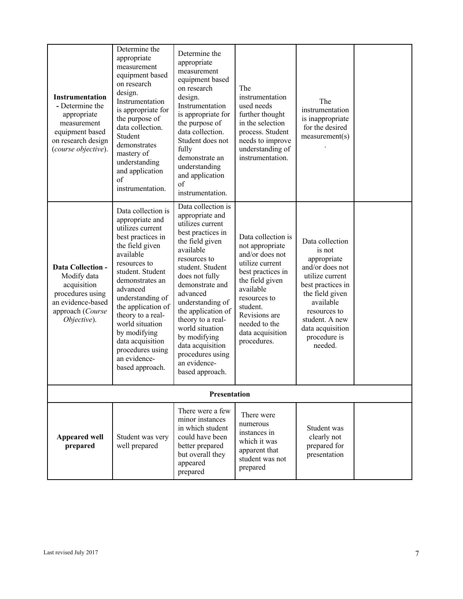| Instrumentation<br>- Determine the<br>appropriate<br>measurement<br>equipment based<br>on research design<br>(course objective).   | Determine the<br>appropriate<br>measurement<br>equipment based<br>on research<br>design.<br>Instrumentation<br>is appropriate for<br>the purpose of<br>data collection.<br>Student<br>demonstrates<br>mastery of<br>understanding<br>and application<br>of<br>instrumentation.                                                                                 | Determine the<br>appropriate<br>measurement<br>equipment based<br>on research<br>design.<br>Instrumentation<br>is appropriate for<br>the purpose of<br>data collection.<br>Student does not<br>fully<br>demonstrate an<br>understanding<br>and application<br>of<br>instrumentation.                                                                                             | The<br>instrumentation<br>used needs<br>further thought<br>in the selection<br>process. Student<br>needs to improve<br>understanding of<br>instrumentation.                                                                       | The<br>instrumentation<br>is inappropriate<br>for the desired<br>measurement(s)                                                                                                                                      |  |  |  |
|------------------------------------------------------------------------------------------------------------------------------------|----------------------------------------------------------------------------------------------------------------------------------------------------------------------------------------------------------------------------------------------------------------------------------------------------------------------------------------------------------------|----------------------------------------------------------------------------------------------------------------------------------------------------------------------------------------------------------------------------------------------------------------------------------------------------------------------------------------------------------------------------------|-----------------------------------------------------------------------------------------------------------------------------------------------------------------------------------------------------------------------------------|----------------------------------------------------------------------------------------------------------------------------------------------------------------------------------------------------------------------|--|--|--|
| <b>Data Collection -</b><br>Modify data<br>acquisition<br>procedures using<br>an evidence-based<br>approach (Course<br>Objective). | Data collection is<br>appropriate and<br>utilizes current<br>best practices in<br>the field given<br>available<br>resources to<br>student. Student<br>demonstrates an<br>advanced<br>understanding of<br>the application of<br>theory to a real-<br>world situation<br>by modifying<br>data acquisition<br>procedures using<br>an evidence-<br>based approach. | Data collection is<br>appropriate and<br>utilizes current<br>best practices in<br>the field given<br>available<br>resources to<br>student. Student<br>does not fully<br>demonstrate and<br>advanced<br>understanding of<br>the application of<br>theory to a real-<br>world situation<br>by modifying<br>data acquisition<br>procedures using<br>an evidence-<br>based approach. | Data collection is<br>not appropriate<br>and/or does not<br>utilize current<br>best practices in<br>the field given<br>available<br>resources to<br>student.<br>Revisions are<br>needed to the<br>data acquisition<br>procedures. | Data collection<br>is not<br>appropriate<br>and/or does not<br>utilize current<br>best practices in<br>the field given<br>available<br>resources to<br>student. A new<br>data acquisition<br>procedure is<br>needed. |  |  |  |
| <b>Presentation</b>                                                                                                                |                                                                                                                                                                                                                                                                                                                                                                |                                                                                                                                                                                                                                                                                                                                                                                  |                                                                                                                                                                                                                                   |                                                                                                                                                                                                                      |  |  |  |
| <b>Appeared well</b><br>prepared                                                                                                   | Student was very<br>well prepared                                                                                                                                                                                                                                                                                                                              | There were a few<br>minor instances<br>in which student<br>could have been<br>better prepared<br>but overall they<br>appeared<br>prepared                                                                                                                                                                                                                                        | There were<br>numerous<br>instances in<br>which it was<br>apparent that<br>student was not<br>prepared                                                                                                                            | Student was<br>clearly not<br>prepared for<br>presentation                                                                                                                                                           |  |  |  |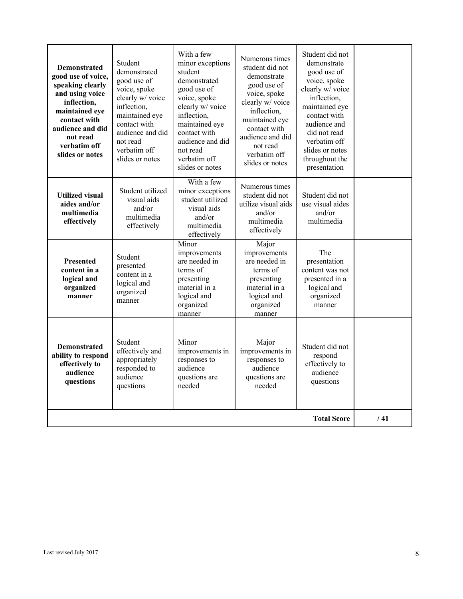| <b>Demonstrated</b><br>good use of voice,<br>speaking clearly<br>and using voice<br>inflection,<br>maintained eye<br>contact with<br>audience and did<br>not read<br>verbatim off<br>slides or notes | Student<br>demonstrated<br>good use of<br>voice, spoke<br>clearly w/ voice<br>inflection,<br>maintained eye<br>contact with<br>audience and did<br>not read<br>verbatim off<br>slides or notes | With a few<br>minor exceptions<br>student<br>demonstrated<br>good use of<br>voice, spoke<br>clearly w/ voice<br>inflection,<br>maintained eye<br>contact with<br>audience and did<br>not read<br>verbatim off<br>slides or notes | Numerous times<br>student did not<br>demonstrate<br>good use of<br>voice, spoke<br>clearly w/ voice<br>inflection,<br>maintained eye<br>contact with<br>audience and did<br>not read<br>verbatim off<br>slides or notes | Student did not<br>demonstrate<br>good use of<br>voice, spoke<br>clearly w/ voice<br>inflection.<br>maintained eye<br>contact with<br>audience and<br>did not read<br>verbatim off<br>slides or notes<br>throughout the<br>presentation |  |
|------------------------------------------------------------------------------------------------------------------------------------------------------------------------------------------------------|------------------------------------------------------------------------------------------------------------------------------------------------------------------------------------------------|----------------------------------------------------------------------------------------------------------------------------------------------------------------------------------------------------------------------------------|-------------------------------------------------------------------------------------------------------------------------------------------------------------------------------------------------------------------------|-----------------------------------------------------------------------------------------------------------------------------------------------------------------------------------------------------------------------------------------|--|
| <b>Utilized visual</b><br>aides and/or<br>multimedia<br>effectively                                                                                                                                  | Student utilized<br>visual aids<br>and/or<br>multimedia<br>effectively                                                                                                                         | With a few<br>minor exceptions<br>student utilized<br>visual aids<br>and/or<br>multimedia<br>effectively                                                                                                                         | Numerous times<br>student did not<br>utilize visual aids<br>and/or<br>multimedia<br>effectively                                                                                                                         | Student did not<br>use visual aides<br>and/or<br>multimedia                                                                                                                                                                             |  |
| <b>Presented</b><br>content in a<br>logical and<br>organized<br>manner                                                                                                                               | Student<br>presented<br>content in a<br>logical and<br>organized<br>manner                                                                                                                     | Minor<br>improvements<br>are needed in<br>terms of<br>presenting<br>material in a<br>logical and<br>organized<br>manner                                                                                                          | Major<br>improvements<br>are needed in<br>terms of<br>presenting<br>material in a<br>logical and<br>organized<br>manner                                                                                                 | The<br>presentation<br>content was not<br>presented in a<br>logical and<br>organized<br>manner                                                                                                                                          |  |
| <b>Demonstrated</b><br>ability to respond<br>effectively to<br>audience<br>questions                                                                                                                 | Student<br>effectively and<br>appropriately<br>responded to<br>audience<br>questions                                                                                                           | Minor<br>improvements in<br>responses to<br>audience<br>questions are<br>needed                                                                                                                                                  | Major<br>improvements in<br>responses to<br>audience<br>questions are<br>needed                                                                                                                                         | Student did not<br>respond<br>effectively to<br>audience<br>questions                                                                                                                                                                   |  |
|                                                                                                                                                                                                      | /41                                                                                                                                                                                            |                                                                                                                                                                                                                                  |                                                                                                                                                                                                                         |                                                                                                                                                                                                                                         |  |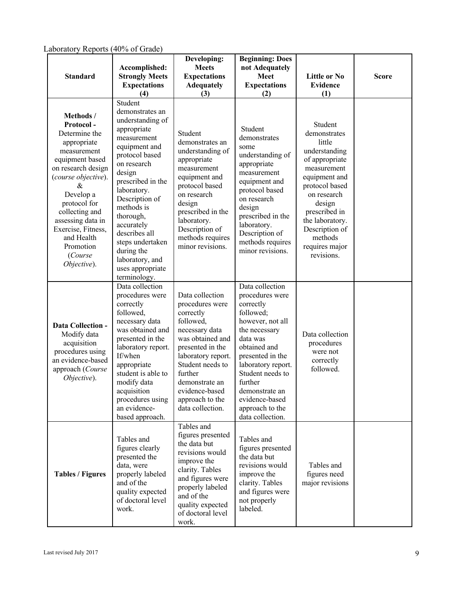| $\mu$ aboratory ineports (40% or Grade)<br><b>Standard</b>                                                                                                                                                                                                                                | Accomplished:<br><b>Strongly Meets</b><br><b>Expectations</b><br>(4)                                                                                                                                                                                                                                                                              | Developing:<br><b>Meets</b><br><b>Expectations</b><br><b>Adequately</b><br>(3)                                                                                                                                                                         | <b>Beginning: Does</b><br>not Adequately<br><b>Meet</b><br><b>Expectations</b><br>(2)                                                                                                                                                                                             | <b>Little or No</b><br><b>Evidence</b><br>(1)                                                                                                                                                                                                    | <b>Score</b> |
|-------------------------------------------------------------------------------------------------------------------------------------------------------------------------------------------------------------------------------------------------------------------------------------------|---------------------------------------------------------------------------------------------------------------------------------------------------------------------------------------------------------------------------------------------------------------------------------------------------------------------------------------------------|--------------------------------------------------------------------------------------------------------------------------------------------------------------------------------------------------------------------------------------------------------|-----------------------------------------------------------------------------------------------------------------------------------------------------------------------------------------------------------------------------------------------------------------------------------|--------------------------------------------------------------------------------------------------------------------------------------------------------------------------------------------------------------------------------------------------|--------------|
| Methods /<br>Protocol-<br>Determine the<br>appropriate<br>measurement<br>equipment based<br>on research design<br>(course objective).<br>&<br>Develop a<br>protocol for<br>collecting and<br>assessing data in<br>Exercise, Fitness,<br>and Health<br>Promotion<br>(Course<br>Objective). | Student<br>demonstrates an<br>understanding of<br>appropriate<br>measurement<br>equipment and<br>protocol based<br>on research<br>design<br>prescribed in the<br>laboratory.<br>Description of<br>methods is<br>thorough,<br>accurately<br>describes all<br>steps undertaken<br>during the<br>laboratory, and<br>uses appropriate<br>terminology. | Student<br>demonstrates an<br>understanding of<br>appropriate<br>measurement<br>equipment and<br>protocol based<br>on research<br>design<br>prescribed in the<br>laboratory.<br>Description of<br>methods requires<br>minor revisions.                 | Student<br>demonstrates<br>some<br>understanding of<br>appropriate<br>measurement<br>equipment and<br>protocol based<br>on research<br>design<br>prescribed in the<br>laboratory.<br>Description of<br>methods requires<br>minor revisions.                                       | Student<br>demonstrates<br>little<br>understanding<br>of appropriate<br>measurement<br>equipment and<br>protocol based<br>on research<br>design<br>prescribed in<br>the laboratory.<br>Description of<br>methods<br>requires major<br>revisions. |              |
| <b>Data Collection -</b><br>Modify data<br>acquisition<br>procedures using<br>an evidence-based<br>approach (Course<br>Objective).                                                                                                                                                        | Data collection<br>procedures were<br>correctly<br>followed,<br>necessary data<br>was obtained and<br>presented in the<br>laboratory report.<br>If/when<br>appropriate<br>student is able to<br>modify data<br>acquisition<br>procedures using<br>an evidence-<br>based approach.                                                                 | Data collection<br>procedures were<br>correctly<br>followed,<br>necessary data<br>was obtained and<br>presented in the<br>laboratory report.<br>Student needs to<br>further<br>demonstrate an<br>evidence-based<br>approach to the<br>data collection. | Data collection<br>procedures were<br>correctly<br>followed;<br>however, not all<br>the necessary<br>data was<br>obtained and<br>presented in the<br>laboratory report.<br>Student needs to<br>further<br>demonstrate an<br>evidence-based<br>approach to the<br>data collection. | Data collection<br>procedures<br>were not<br>correctly<br>followed.                                                                                                                                                                              |              |
| <b>Tables / Figures</b>                                                                                                                                                                                                                                                                   | Tables and<br>figures clearly<br>presented the<br>data, were<br>properly labeled<br>and of the<br>quality expected<br>of doctoral level<br>work.                                                                                                                                                                                                  | Tables and<br>figures presented<br>the data but<br>revisions would<br>improve the<br>clarity. Tables<br>and figures were<br>properly labeled<br>and of the<br>quality expected<br>of doctoral level<br>work.                                           | Tables and<br>figures presented<br>the data but<br>revisions would<br>improve the<br>clarity. Tables<br>and figures were<br>not properly<br>labeled.                                                                                                                              | Tables and<br>figures need<br>major revisions                                                                                                                                                                                                    |              |

Laboratory Reports (40% of Grade)